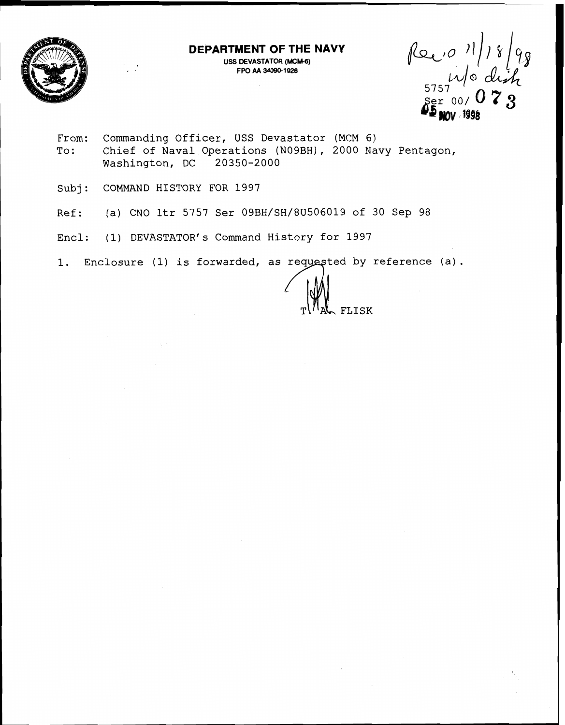

**DEPARTMENT OF THE NAVY** 

**USS DEVASTATOR (MCM-6) <sup>F</sup>W AA 34090-1 926** 

 $\sum_{\text{Per}}^{5757}$  00/ 0  $\text{7}$  3

- From: Commanding Officer, USS Devastator (MCM 6) To: Chief of Naval Operations (NOgBH), 2000 Navy Pentagon, Washington, DC 20350-2000
- Subj: COMMAND HISTORY FOR 1997
- Ref: (a) CNO ltr 5757 Ser 09BH/SH/8U506019 of 30 Sep 98
- Encl: (1) DEVASTATOR'S Command History for 1997
- 1. Enclosure (1) is forwarded, as requested by reference (a).

**FLISK**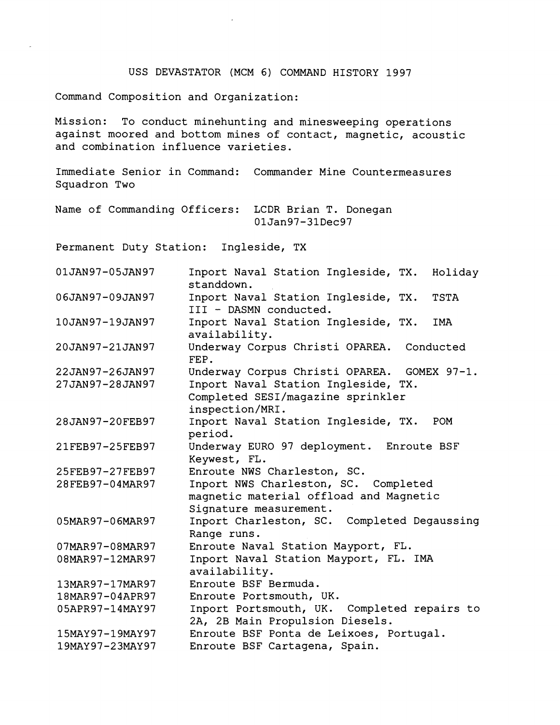## USS DEVASTATOR (MCM 6) COMMAND HISTORY 1997

Command Composition and Organization:

Mission: To conduct minehunting and minesweeping operations against moored and bottom mines of contact, magnetic, acoustic and combination influence varieties.

Immediate Senior in Command: Commander Mine Countermeasures Squadron Two

Name of Commanding Officers: LCDR Brian T. Donegan 01Jan97-31Dec97

Permanent Duty Station: Ingleside, TX

| 01JAN97-05JAN97 | Inport Naval Station Ingleside, TX.<br>Holiday<br>standdown.                                             |
|-----------------|----------------------------------------------------------------------------------------------------------|
| 06JAN97-09JAN97 | Inport Naval Station Ingleside, TX.<br><b>TSTA</b><br>III - DASMN conducted.                             |
| 10JAN97-19JAN97 | Inport Naval Station Ingleside, TX.<br><b>IMA</b><br>availability.                                       |
| 20JAN97-21JAN97 | Underway Corpus Christi OPAREA. Conducted<br>FEP.                                                        |
| 22JAN97-26JAN97 | Underway Corpus Christi OPAREA.<br>GOMEX 97-1.                                                           |
| 27JAN97-28JAN97 | Inport Naval Station Ingleside, TX.<br>Completed SESI/magazine sprinkler<br>inspection/MRI.              |
| 28JAN97-20FEB97 | Inport Naval Station Ingleside, TX.<br>POM<br>period.                                                    |
| 21FEB97-25FEB97 | Underway EURO 97 deployment. Enroute BSF<br>Keywest, FL.                                                 |
| 25FEB97-27FEB97 | Enroute NWS Charleston, SC.                                                                              |
| 28FEB97-04MAR97 | Inport NWS Charleston, SC. Completed<br>magnetic material offload and Magnetic<br>Signature measurement. |
| 05MAR97-06MAR97 | Inport Charleston, SC. Completed Degaussing<br>Range runs.                                               |
| 07MAR97-08MAR97 | Enroute Naval Station Mayport, FL.                                                                       |
| 08MAR97-12MAR97 | Inport Naval Station Mayport, FL. IMA<br>availability.                                                   |
| 13MAR97-17MAR97 | Enroute BSF Bermuda.                                                                                     |
| 18MAR97-04APR97 | Enroute Portsmouth, UK.                                                                                  |
| 05APR97-14MAY97 | Inport Portsmouth, UK. Completed repairs to<br>2A, 2B Main Propulsion Diesels.                           |
| 15MAY97-19MAY97 | Enroute BSF Ponta de Leixoes, Portugal.                                                                  |
| 19MAY97-23MAY97 | Enroute BSF Cartagena, Spain.                                                                            |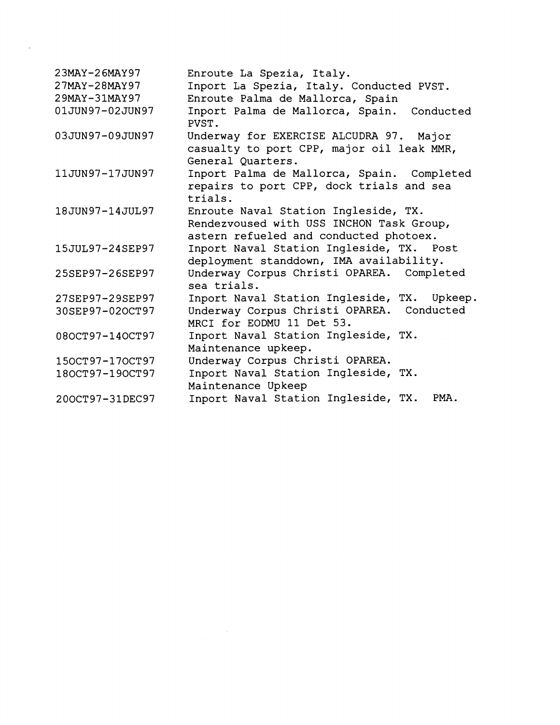| 23MAY-26MAY97   | Enroute La Spezia, Italy.                                                                                                  |
|-----------------|----------------------------------------------------------------------------------------------------------------------------|
| 27MAY-28MAY97   | Inport La Spezia, Italy. Conducted PVST.                                                                                   |
| 29MAY-31MAY97   | Enroute Palma de Mallorca, Spain                                                                                           |
| 01JUN97-02JUN97 | Inport Palma de Mallorca, Spain. Conducted<br>PVST.                                                                        |
| 03JUN97-09JUN97 | Underway for EXERCISE ALCUDRA 97. Major<br>casualty to port CPP, major oil leak MMR,<br>General Quarters.                  |
| 11JUN97-17JUN97 | Inport Palma de Mallorca, Spain. Completed<br>repairs to port CPP, dock trials and sea<br>trials.                          |
| 18JUN97-14JUL97 | Enroute Naval Station Ingleside, TX.<br>Rendezvoused with USS INCHON Task Group,<br>astern refueled and conducted photoex. |
| 15JUL97-24SEP97 | Inport Naval Station Ingleside, TX. Post<br>deployment standdown, IMA availability.                                        |
| 25SEP97-26SEP97 | Underway Corpus Christi OPAREA. Completed<br>sea trials.                                                                   |
| 27SEP97-29SEP97 | Inport Naval Station Ingleside, TX. Upkeep.                                                                                |
| 30SEP97-02OCT97 | Underway Corpus Christi OPAREA. Conducted<br>MRCI for EODMU 11 Det 53.                                                     |
| 080CT97-140CT97 | Inport Naval Station Ingleside, TX.<br>Maintenance upkeep.                                                                 |
| 150CT97-170CT97 | Underway Corpus Christi OPAREA.                                                                                            |
| 180CT97-190CT97 | Inport Naval Station Ingleside, TX.<br>Maintenance Upkeep                                                                  |
| 200CT97-31DEC97 | Inport Naval Station Ingleside, TX.<br>PMA.                                                                                |

 $\label{eq:2.1} \begin{split} \mathcal{L}_{\text{max}}(\mathbf{r}) = \mathcal{L}_{\text{max}}(\mathbf{r}) \mathcal{L}_{\text{max}}(\mathbf{r}) \,, \end{split}$ 

 $\mathcal{L}_{\text{max}}$  and  $\mathcal{L}_{\text{max}}$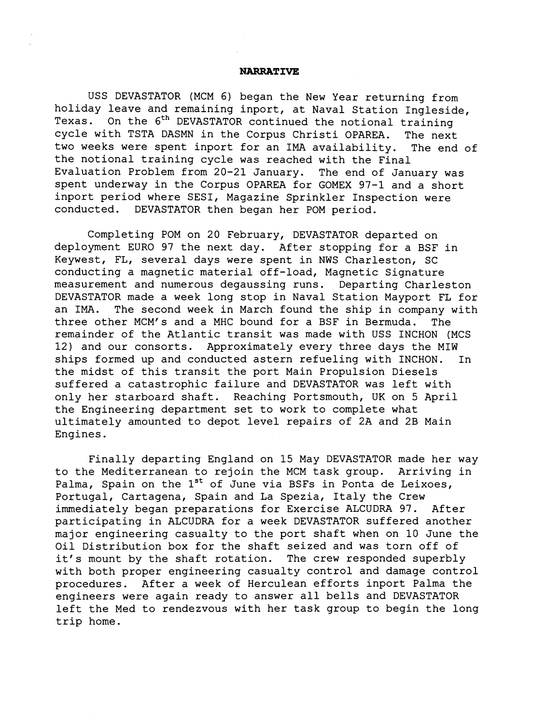## **NARRATIVE**

USS DEVASTATOR (MCM 6) began the New Year returning from holiday leave and remaining inport, at Naval Station Ingleside,<br>Texas. On the 6<sup>th</sup> DEVASTATOR continued the notional training On the 6<sup>th</sup> DEVASTATOR continued the notional training cycle with TSTA DASMN in the Corpus Christi OPAREA. The next two weeks were spent inport for an IMA availability. The end of the notional training cycle was reached with the Final Evaluation Problem from 20-21 January. The end of January was spent underway in the Corpus OPAREA for GOMEX 97-1 and a short inport period where SESI, Magazine Sprinkler Inspection were conducted. DEVASTATOR then began her POM period.

Completing POM on 20 February, DEVASTATOR departed on deployment EURO 97 the next day. After stopping for a BSF in Keywest, FL, several days were spent in NWS Charleston, SC conducting a magnetic material off-load, Magnetic Signature measurement and numerous degaussing runs. Departing Charleston DEVASTATOR made a week long stop in Naval Station Mayport FL for an IMA. The second week in March found the ship in company with three other MCM's and a MHC bound for a BSF in Bermuda. The remainder of the Atlantic transit was made with USS INCHON (MCS 12) and our consorts. Approximately every three days the MIW ships formed up and conducted astern refueling with INCHON. In the midst of this transit the port Main Propulsion Diesels suffered a catastrophic failure and DEVASTATOR was left with only her starboard shaft. Reaching Portsmouth, UK on 5 April the Engineering department set to work to complete what ultimately amounted to depot level repairs of 2A and 2B Main Engines.

Finally departing England on 15 May DEVASTATOR made her way to the Mediterranean to rejoin the MCM task group. Arriving in Palma, Spain on the  $1^{st}$  of June via BSFs in Ponta de Leixoes, Portugal, Cartagena, Spain and La Spezia, Italy the Crew immediately began preparations for Exercise ALCUDRA 97. After participating in ALCUDRA for a week DEVASTATOR suffered another major engineering casualty to the port shaft when on 10 June the Oil Distribution box for the shaft seized and was torn off of it's mount by the shaft rotation. The crew responded superbly with both proper engineering casualty control and damage control procedures. After a week of Herculean efforts inport Palma the engineers were again ready to answer all bells and DEVASTATOR left the Med to rendezvous with her task group to begin the long trip home.